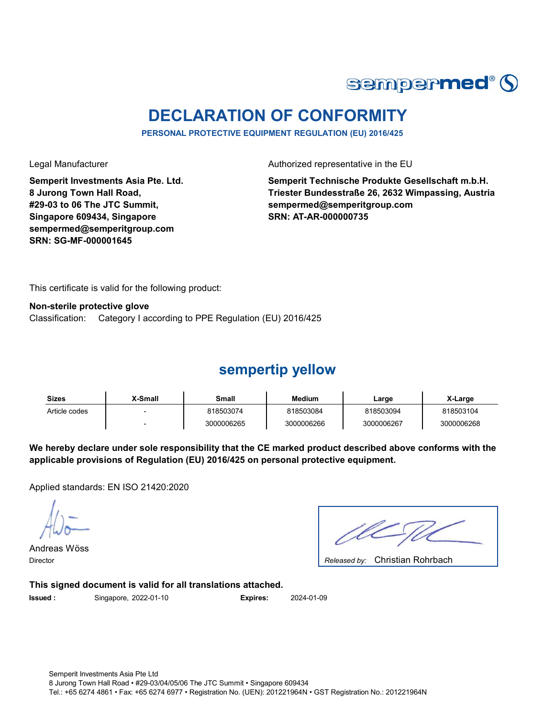

## **DECLARATION OF CONFORMITY**

**PERSONAL PROTECTIVE EQUIPMENT REGULATION (EU) 2016/425**

**Semperit Investments Asia Pte. Ltd. 8 Jurong Town Hall Road, #29-03 to 06 The JTC Summit, Singapore 609434, Singapore sempermed@semperitgroup.com SRN: SG-MF-000001645**

Legal Manufacturer **Authorized representative in the EU** 

**Semperit Technische Produkte Gesellschaft m.b.H. Triester Bundesstraße 26, 2632 Wimpassing, Austria sempermed@semperitgroup.com SRN: AT-AR-000000735**

This certificate is valid for the following product:

Classification: Category I according to PPE Regulation (EU) 2016/425 **Non-sterile protective glove**

#### **sempertip yellow**

| <b>Sizes</b>  | X-Small | Small      | Medium     | ∟arge      | X-Large    |
|---------------|---------|------------|------------|------------|------------|
| Article codes |         | 818503074  | 818503084  | 818503094  | 818503104  |
|               |         | 3000006265 | 3000006266 | 3000006267 | 3000006268 |

**We hereby declare under sole responsibility that the CE marked product described above conforms with the applicable provisions of Regulation (EU) 2016/425 on personal protective equipment.**

Applied standards: EN ISO 21420:2020

Andreas Wöss

Christian Rohrbach Director *Released by:* 

**This signed document is valid for all translations attached.**

**Issued :** Singapore, 2022-01-10

2022-01-10 **Expires:** 2024-01-09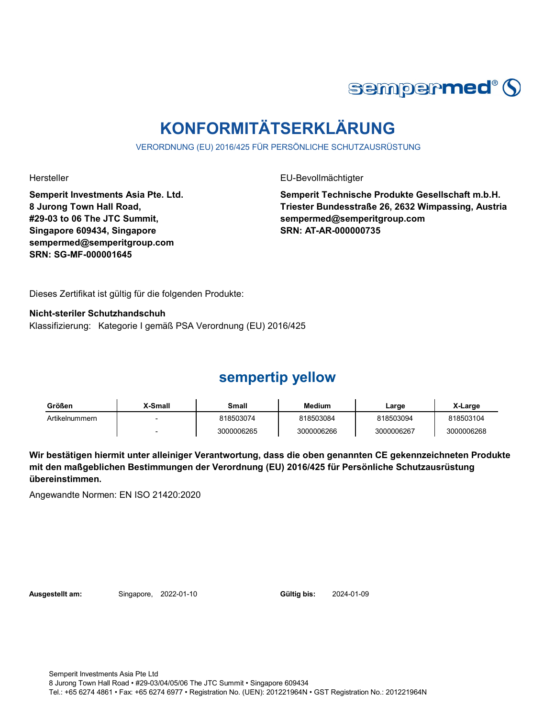

## **KONFORMITÄTSERKLÄRUNG**

VERORDNUNG (EU) 2016/425 FÜR PERSÖNLICHE SCHUTZAUSRÜSTUNG

**Semperit Investments Asia Pte. Ltd. 8 Jurong Town Hall Road, #29-03 to 06 The JTC Summit, Singapore 609434, Singapore sempermed@semperitgroup.com SRN: SG-MF-000001645**

Hersteller EU-Bevollmächtigter

**Semperit Technische Produkte Gesellschaft m.b.H. Triester Bundesstraße 26, 2632 Wimpassing, Austria sempermed@semperitgroup.com SRN: AT-AR-000000735**

Dieses Zertifikat ist gültig für die folgenden Produkte:

**Nicht-steriler Schutzhandschuh** Klassifizierung: Kategorie I gemäß PSA Verordnung (EU) 2016/425

### **sempertip yellow**

| Größen         | X-Small | Small      | <b>Medium</b> | Large      | X-Large    |
|----------------|---------|------------|---------------|------------|------------|
| Artikelnummern |         | 818503074  | 818503084     | 818503094  | 818503104  |
|                |         | 3000006265 | 3000006266    | 3000006267 | 3000006268 |

**Wir bestätigen hiermit unter alleiniger Verantwortung, dass die oben genannten CE gekennzeichneten Produkte mit den maßgeblichen Bestimmungen der Verordnung (EU) 2016/425 für Persönliche Schutzausrüstung übereinstimmen.**

Angewandte Normen: EN ISO 21420:2020

**Ausgestellt am:** Singapore, 2022-01-10

Gültig bis: 2024-01-09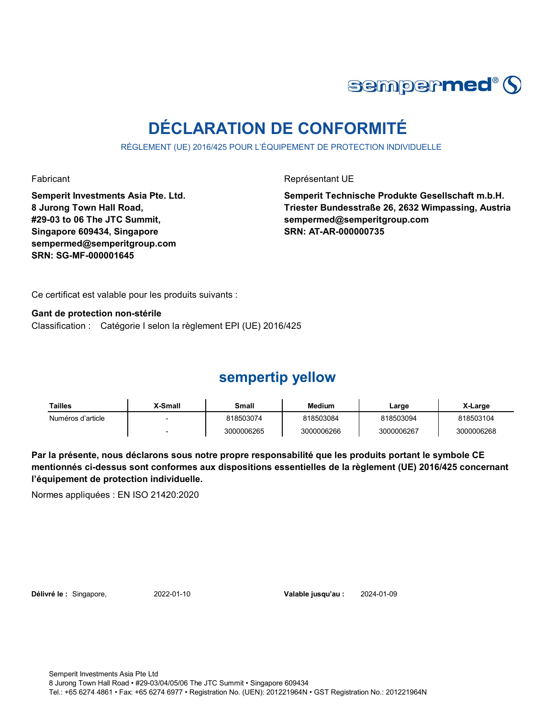

# **DÉCLARATION DE CONFORMITÉ**

RÈGLEMENT (UE) 2016/425 POUR L'ÉQUIPEMENT DE PROTECTION INDIVIDUELLE

**Semperit Investments Asia Pte. Ltd. 8 Jurong Town Hall Road, #29-03 to 06 The JTC Summit, Singapore 609434, Singapore sempermed@semperitgroup.com SRN: SG-MF-000001645**

Fabricant **Représentant UE** 

**Semperit Technische Produkte Gesellschaft m.b.H. Triester Bundesstraße 26, 2632 Wimpassing, Austria sempermed@semperitgroup.com SRN: AT-AR-000000735**

Ce certificat est valable pour les produits suivants :

**Gant de protection non-stérile** Classification : Catégorie I selon la règlement EPI (UE) 2016/425

### **sempertip yellow**

| Tailles           | X-Small | Small      | <b>Medium</b> | Large      | X-Large    |
|-------------------|---------|------------|---------------|------------|------------|
| Numéros d'article |         | 818503074  | 818503084     | 818503094  | 818503104  |
|                   |         | 3000006265 | 3000006266    | 3000006267 | 3000006268 |

**Par la présente, nous déclarons sous notre propre responsabilité que les produits portant le symbole CE mentionnés ci-dessus sont conformes aux dispositions essentielles de la règlement (UE) 2016/425 concernant l'équipement de protection individuelle.**

Normes appliquées : EN ISO 21420:2020

**Délivré le :** Singapore, 2022-01-10

Valable jusqu'au : 2024-01-09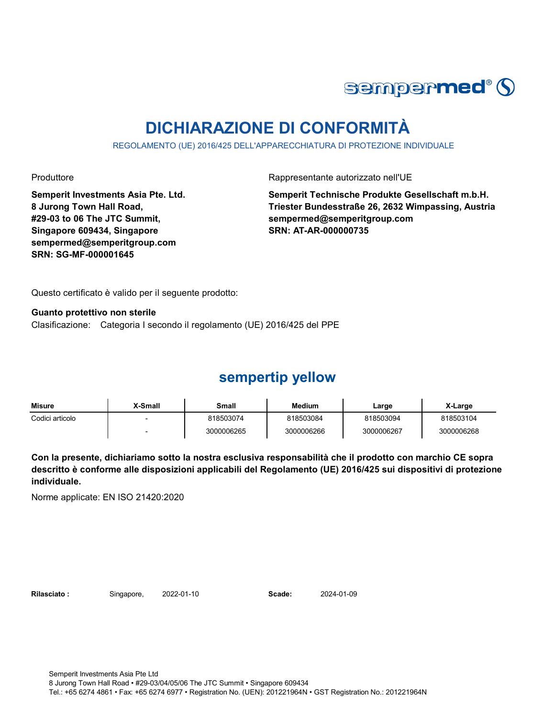

## **DICHIARAZIONE DI CONFORMITÀ**

REGOLAMENTO (UE) 2016/425 DELL'APPARECCHIATURA DI PROTEZIONE INDIVIDUALE

Produttore **Rappresentante autorizzato nell'UE** 

**Semperit Investments Asia Pte. Ltd. 8 Jurong Town Hall Road, #29-03 to 06 The JTC Summit, Singapore 609434, Singapore sempermed@semperitgroup.com SRN: SG-MF-000001645**

**Semperit Technische Produkte Gesellschaft m.b.H. Triester Bundesstraße 26, 2632 Wimpassing, Austria sempermed@semperitgroup.com SRN: AT-AR-000000735**

Questo certificato è valido per il seguente prodotto:

**Guanto protettivo non sterile** Clasificazione: Categoria I secondo il regolamento (UE) 2016/425 del PPE

#### **sempertip yellow**

| <b>Misure</b>   | X-Small | Small      | <b>Medium</b> | Large      | X-Large    |
|-----------------|---------|------------|---------------|------------|------------|
| Codici articolo |         | 818503074  | 818503084     | 818503094  | 818503104  |
|                 |         | 3000006265 | 3000006266    | 3000006267 | 3000006268 |

**Con la presente, dichiariamo sotto la nostra esclusiva responsabilità che il prodotto con marchio CE sopra descritto è conforme alle disposizioni applicabili del Regolamento (UE) 2016/425 sui dispositivi di protezione individuale.**

Norme applicate: EN ISO 21420:2020

Rilasciato: Singapore, 2022-01-10 **Scade:** 

2024-01-09

Semperit Investments Asia Pte Ltd 8 Jurong Town Hall Road • #29-03/04/05/06 The JTC Summit • Singapore 609434 Tel.: +65 6274 4861 • Fax: +65 6274 6977 • Registration No. (UEN): 201221964N • GST Registration No.: 201221964N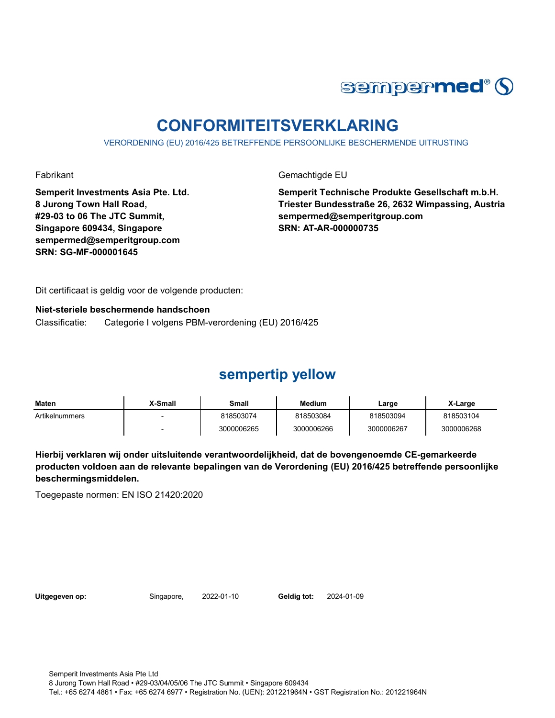

## **CONFORMITEITSVERKLARING**

VERORDENING (EU) 2016/425 BETREFFENDE PERSOONLIJKE BESCHERMENDE UITRUSTING

**Semperit Investments Asia Pte. Ltd. 8 Jurong Town Hall Road, #29-03 to 06 The JTC Summit, Singapore 609434, Singapore sempermed@semperitgroup.com SRN: SG-MF-000001645**

Fabrikant Gemachtigde EU

**Semperit Technische Produkte Gesellschaft m.b.H. Triester Bundesstraße 26, 2632 Wimpassing, Austria sempermed@semperitgroup.com SRN: AT-AR-000000735**

Dit certificaat is geldig voor de volgende producten:

**Niet-steriele beschermende handschoen**

Classificatie: Categorie I volgens PBM-verordening (EU) 2016/425

#### **sempertip yellow**

| <b>Maten</b>   | X-Small | Small      | <b>Medium</b> | Large      | X-Large    |
|----------------|---------|------------|---------------|------------|------------|
| Artikelnummers |         | 818503074  | 818503084     | 818503094  | 818503104  |
|                |         | 3000006265 | 3000006266    | 3000006267 | 3000006268 |

**Hierbij verklaren wij onder uitsluitende verantwoordelijkheid, dat de bovengenoemde CE-gemarkeerde producten voldoen aan de relevante bepalingen van de Verordening (EU) 2016/425 betreffende persoonlijke beschermingsmiddelen.**

Toegepaste normen: EN ISO 21420:2020

Uitgegeven op: Singapore, 2022-01-10

Geldig tot: 2024-01-09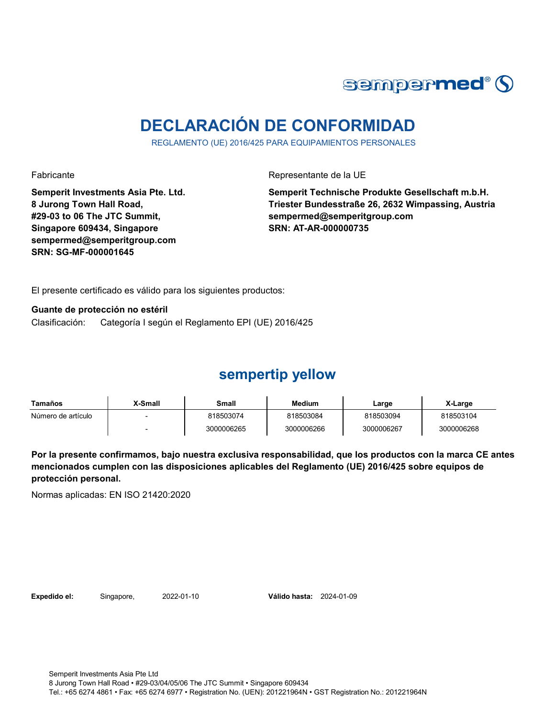

## **DECLARACIÓN DE CONFORMIDAD**

REGLAMENTO (UE) 2016/425 PARA EQUIPAMIENTOS PERSONALES

Fabricante Representante de la UE

**Semperit Investments Asia Pte. Ltd. 8 Jurong Town Hall Road, #29-03 to 06 The JTC Summit, Singapore 609434, Singapore sempermed@semperitgroup.com SRN: SG-MF-000001645**

**Semperit Technische Produkte Gesellschaft m.b.H. Triester Bundesstraße 26, 2632 Wimpassing, Austria sempermed@semperitgroup.com SRN: AT-AR-000000735**

El presente certificado es válido para los siguientes productos:

**Guante de protección no estéril** Clasificación: Categoría I según el Reglamento EPI (UE) 2016/425

#### **sempertip yellow**

| Tamaños            | X-Small | Small      | Medium     | Large      | X-Large    |
|--------------------|---------|------------|------------|------------|------------|
| Número de artículo |         | 818503074  | 818503084  | 818503094  | 818503104  |
|                    |         | 3000006265 | 3000006266 | 3000006267 | 3000006268 |

**Por la presente confirmamos, bajo nuestra exclusiva responsabilidad, que los productos con la marca CE antes mencionados cumplen con las disposiciones aplicables del Reglamento (UE) 2016/425 sobre equipos de protección personal.**

Normas aplicadas: EN ISO 21420:2020

**Expedido el:** Singapore, 2022-01-10

Válido hasta: 2024-01-09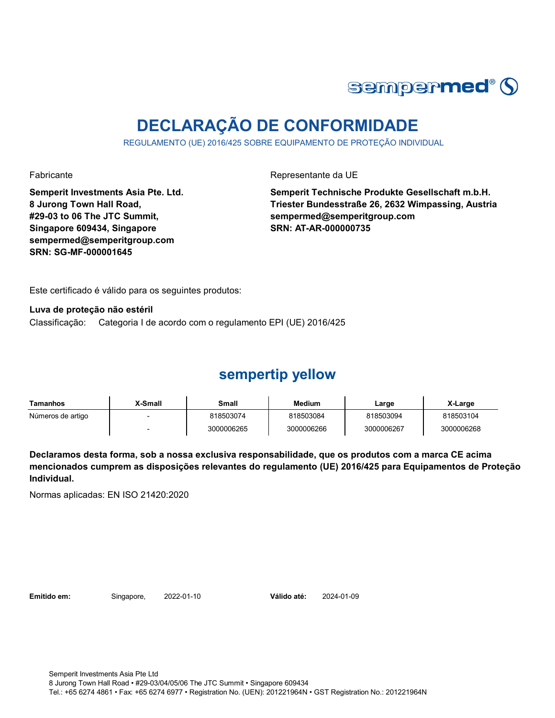

## **DECLARAÇÃO DE CONFORMIDADE**

REGULAMENTO (UE) 2016/425 SOBRE EQUIPAMENTO DE PROTEÇÃO INDIVIDUAL

Fabricante Representante da UE

**Semperit Investments Asia Pte. Ltd. 8 Jurong Town Hall Road, #29-03 to 06 The JTC Summit, Singapore 609434, Singapore sempermed@semperitgroup.com SRN: SG-MF-000001645**

**Semperit Technische Produkte Gesellschaft m.b.H. Triester Bundesstraße 26, 2632 Wimpassing, Austria sempermed@semperitgroup.com SRN: AT-AR-000000735**

Este certificado é válido para os seguintes produtos:

**Luva de proteção não estéril** Classificação: Categoria I de acordo com o regulamento EPI (UE) 2016/425

#### **sempertip yellow**

| Tamanhos          | <b>X-Small</b> | Small      | Medium     | Large      | X-Large    |
|-------------------|----------------|------------|------------|------------|------------|
| Números de artigo |                | 818503074  | 818503084  | 818503094  | 818503104  |
|                   |                | 3000006265 | 3000006266 | 3000006267 | 3000006268 |

**Declaramos desta forma, sob a nossa exclusiva responsabilidade, que os produtos com a marca CE acima mencionados cumprem as disposições relevantes do regulamento (UE) 2016/425 para Equipamentos de Proteção Individual.**

Normas aplicadas: EN ISO 21420:2020

**Emitido em:** Singapore, 2022-01-10

Válido até: 2024-01-09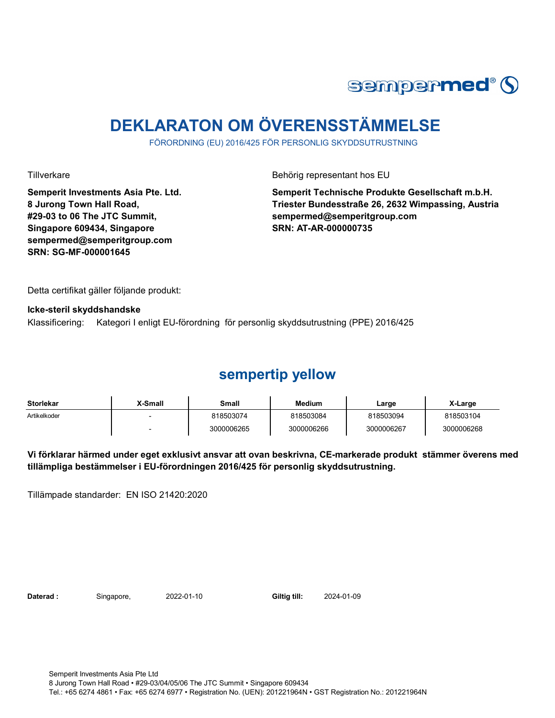

## **DEKLARATON OM ÖVERENSSTÄMMELSE**

FÖRORDNING (EU) 2016/425 FÖR PERSONLIG SKYDDSUTRUSTNING

**Semperit Investments Asia Pte. Ltd. 8 Jurong Town Hall Road, #29-03 to 06 The JTC Summit, Singapore 609434, Singapore sempermed@semperitgroup.com SRN: SG-MF-000001645**

Tillverkare Behörig representant hos EU

**Semperit Technische Produkte Gesellschaft m.b.H. Triester Bundesstraße 26, 2632 Wimpassing, Austria sempermed@semperitgroup.com SRN: AT-AR-000000735**

Detta certifikat gäller följande produkt:

**Icke-steril skyddshandske**  Klassificering: Kategori I enligt EU-förordning för personlig skyddsutrustning (PPE) 2016/425

#### **sempertip yellow**

| <b>Storlekar</b> | X-Small | Small      | <b>Medium</b> | Large      | X-Large    |
|------------------|---------|------------|---------------|------------|------------|
| Artikelkoder     |         | 818503074  | 818503084     | 818503094  | 818503104  |
|                  |         | 3000006265 | 3000006266    | 3000006267 | 3000006268 |

**Vi förklarar härmed under eget exklusivt ansvar att ovan beskrivna, CE-markerade produkt stämmer överens med tillämpliga bestämmelser i EU-förordningen 2016/425 för personlig skyddsutrustning.**

Tillämpade standarder: EN ISO 21420:2020

Daterad : Singapore, 2022-01-10 Giltig till:

2024-01-09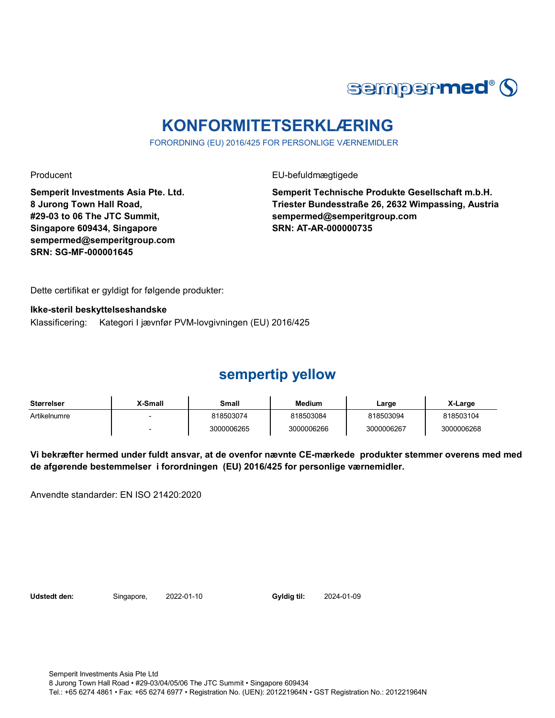

## **KONFORMITETSERKLÆRING**

FORORDNING (EU) 2016/425 FOR PERSONLIGE VÆRNEMIDLER

Producent **EU-befuldmægtigede** 

**Semperit Investments Asia Pte. Ltd. 8 Jurong Town Hall Road, #29-03 to 06 The JTC Summit, Singapore 609434, Singapore sempermed@semperitgroup.com SRN: SG-MF-000001645**

**Semperit Technische Produkte Gesellschaft m.b.H. Triester Bundesstraße 26, 2632 Wimpassing, Austria sempermed@semperitgroup.com SRN: AT-AR-000000735**

Dette certifikat er gyldigt for følgende produkter:

**Ikke-steril beskyttelseshandske** Klassificering: Kategori I jævnfør PVM-lovgivningen (EU) 2016/425

### **sempertip yellow**

| <b>Størrelser</b> | X-Small | Small      | <b>Medium</b> | Large      | X-Large    |
|-------------------|---------|------------|---------------|------------|------------|
| Artikelnumre      |         | 818503074  | 818503084     | 818503094  | 818503104  |
|                   |         | 3000006265 | 3000006266    | 3000006267 | 3000006268 |

**Vi bekræfter hermed under fuldt ansvar, at de ovenfor nævnte CE-mærkede produkter stemmer overens med med de afgørende bestemmelser i forordningen (EU) 2016/425 for personlige værnemidler.** 

Anvendte standarder: EN ISO 21420:2020

**Udstedt den:** Singapore, 2022-01-10

Gyldig til: 2024-01-09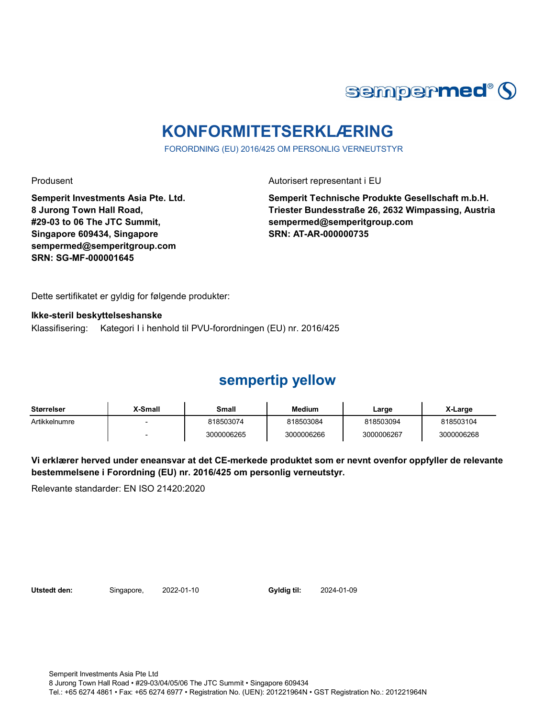

## **KONFORMITETSERKLÆRING**

FORORDNING (EU) 2016/425 OM PERSONLIG VERNEUTSTYR

Produsent **Autorisert representant i EU** 

**Semperit Investments Asia Pte. Ltd. 8 Jurong Town Hall Road, #29-03 to 06 The JTC Summit, Singapore 609434, Singapore sempermed@semperitgroup.com SRN: SG-MF-000001645**

**Semperit Technische Produkte Gesellschaft m.b.H. Triester Bundesstraße 26, 2632 Wimpassing, Austria sempermed@semperitgroup.com SRN: AT-AR-000000735**

Dette sertifikatet er gyldig for følgende produkter:

**Ikke-steril beskyttelseshanske** Klassifisering: Kategori I i henhold til PVU-forordningen (EU) nr. 2016/425

#### **sempertip yellow**

| Størrelser    | X-Small | Small      | Medium     | Large      | X-Large    |
|---------------|---------|------------|------------|------------|------------|
| Artikkelnumre |         | 818503074  | 818503084  | 818503094  | 818503104  |
|               |         | 3000006265 | 3000006266 | 3000006267 | 3000006268 |

**Vi erklærer herved under eneansvar at det CE-merkede produktet som er nevnt ovenfor oppfyller de relevante bestemmelsene i Forordning (EU) nr. 2016/425 om personlig verneutstyr.**

Relevante standarder: EN ISO 21420:2020

Utstedt den: Singapore, 2022-01-10

Gyldig til: 2024-01-09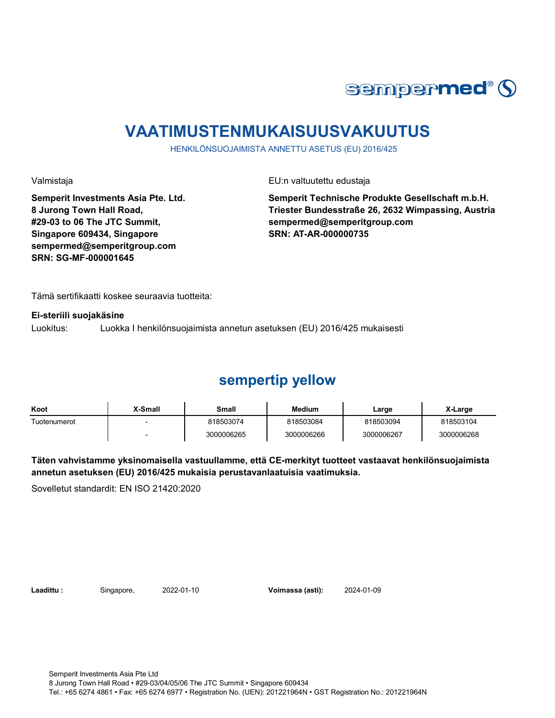

## **VAATIMUSTENMUKAISUUSVAKUUTUS**

HENKILÖNSUOJAIMISTA ANNETTU ASETUS (EU) 2016/425

Valmistaja EU:n valtuutettu edustaja

**Semperit Investments Asia Pte. Ltd. 8 Jurong Town Hall Road, #29-03 to 06 The JTC Summit, Singapore 609434, Singapore sempermed@semperitgroup.com SRN: SG-MF-000001645**

**Semperit Technische Produkte Gesellschaft m.b.H. Triester Bundesstraße 26, 2632 Wimpassing, Austria sempermed@semperitgroup.com SRN: AT-AR-000000735**

Tämä sertifikaatti koskee seuraavia tuotteita:

#### **Ei-steriili suojakäsine**

Luokitus: Luokka I henkilönsuojaimista annetun asetuksen (EU) 2016/425 mukaisesti

#### **sempertip yellow**

| Koot         | X-Small | Small      | <b>Medium</b> | Large      | X-Large    |
|--------------|---------|------------|---------------|------------|------------|
| Tuotenumerot |         | 818503074  | 818503084     | 818503094  | 818503104  |
|              |         | 3000006265 | 3000006266    | 3000006267 | 3000006268 |

**Täten vahvistamme yksinomaisella vastuullamme, että CE-merkityt tuotteet vastaavat henkilönsuojaimista annetun asetuksen (EU) 2016/425 mukaisia perustavanlaatuisia vaatimuksia.**

Sovelletut standardit: EN ISO 21420:2020

**Laadittu :** Singapore, **Voimassa (asti):** 2022-01-10 2024-01-09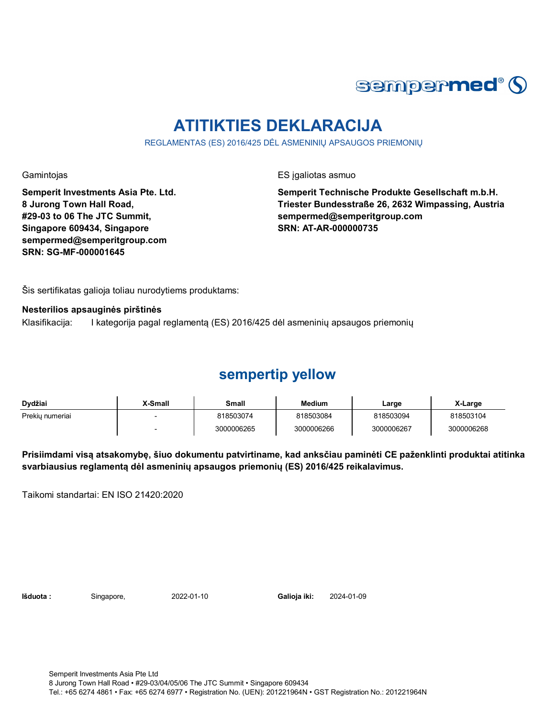

## **ATITIKTIES DEKLARACIJA**

REGLAMENTAS (ES) 2016/425 DĖL ASMENINIŲ APSAUGOS PRIEMONIŲ

**Semperit Investments Asia Pte. Ltd. 8 Jurong Town Hall Road, #29-03 to 06 The JTC Summit, Singapore 609434, Singapore sempermed@semperitgroup.com SRN: SG-MF-000001645**

Gamintojas **ES** įgaliotas asmuo

**Semperit Technische Produkte Gesellschaft m.b.H. Triester Bundesstraße 26, 2632 Wimpassing, Austria sempermed@semperitgroup.com SRN: AT-AR-000000735**

Šis sertifikatas galioja toliau nurodytiems produktams:

**Nesterilios apsauginės pirštinės**

Klasifikacija: I kategorija pagal reglamentą (ES) 2016/425 dėl asmeninių apsaugos priemonių

#### **sempertip yellow**

| Dydžiai         | X-Small | Small      | <b>Medium</b> | Large      | X-Large    |
|-----------------|---------|------------|---------------|------------|------------|
| Prekiu numeriai |         | 818503074  | 818503084     | 818503094  | 818503104  |
|                 |         | 3000006265 | 3000006266    | 3000006267 | 3000006268 |

**Prisiimdami visą atsakomybę, šiuo dokumentu patvirtiname, kad anksčiau paminėti CE paženklinti produktai atitinka svarbiausius reglamentą dėl asmeninių apsaugos priemonių (ES) 2016/425 reikalavimus.**

Taikomi standartai: EN ISO 21420:2020

**Išduota :** Singapore, **Galioja iki:** 2022-01-10 2024-01-09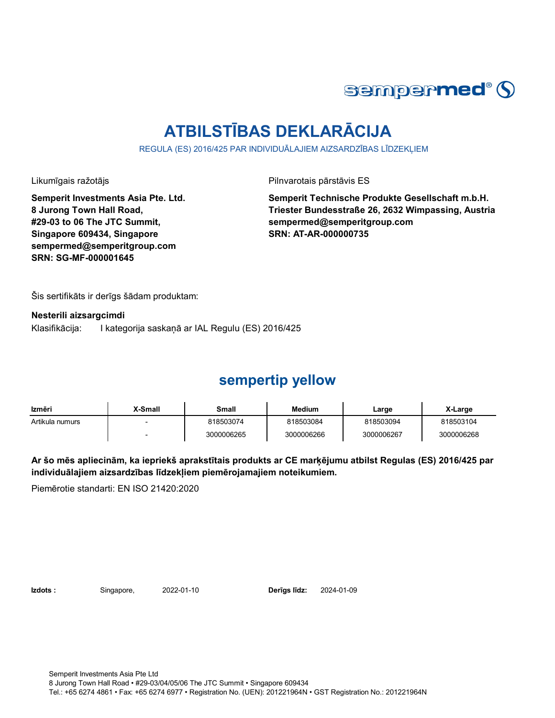

# **ATBILSTĪBAS DEKLARĀCIJA**

REGULA (ES) 2016/425 PAR INDIVIDUĀLAJIEM AIZSARDZĪBAS LĪDZEKLIEM

Likumīgais ražotājs **Pilnvarotais pārstāvis ES** 

**Semperit Investments Asia Pte. Ltd. 8 Jurong Town Hall Road, #29-03 to 06 The JTC Summit, Singapore 609434, Singapore sempermed@semperitgroup.com SRN: SG-MF-000001645**

**Semperit Technische Produkte Gesellschaft m.b.H. Triester Bundesstraße 26, 2632 Wimpassing, Austria sempermed@semperitgroup.com SRN: AT-AR-000000735**

Šis sertifikāts ir derīgs šādam produktam:

**Nesterili aizsargcimdi** Klasifikācija: I kategorija saskaņā ar IAL Regulu (ES) 2016/425

#### **sempertip yellow**

| Izmēri          | X-Small | Small      | <b>Medium</b> | Large      | X-Large    |
|-----------------|---------|------------|---------------|------------|------------|
| Artikula numurs |         | 818503074  | 818503084     | 818503094  | 818503104  |
|                 |         | 3000006265 | 3000006266    | 3000006267 | 3000006268 |

**Ar šo mēs apliecinām, ka iepriekš aprakstītais produkts ar CE marķējumu atbilst Regulas (ES) 2016/425 par individuālajiem aizsardzības līdzekļiem piemērojamajiem noteikumiem.**

Piemērotie standarti: EN ISO 21420:2020

**Izdots :** Singapore, 2022-01-10 **Derīgs līdz:** 2024-01-09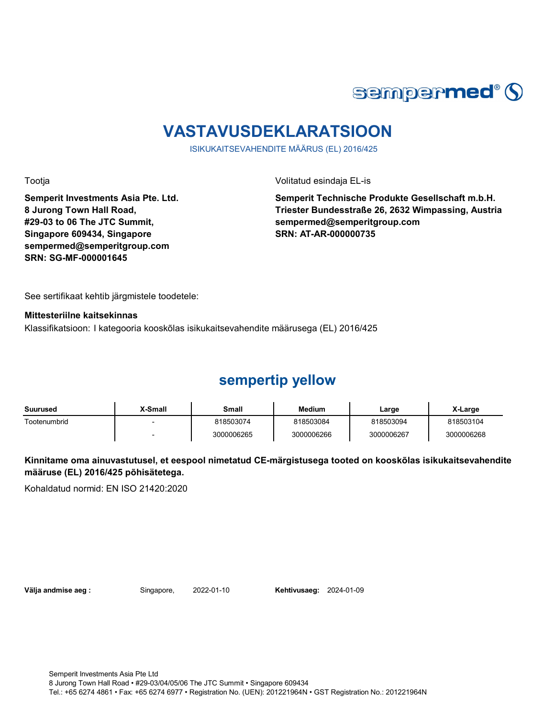

## **VASTAVUSDEKLARATSIOON**

ISIKUKAITSEVAHENDITE MÄÄRUS (EL) 2016/425

Tootja Volitatud esindaja EL-is

**Semperit Investments Asia Pte. Ltd. 8 Jurong Town Hall Road, #29-03 to 06 The JTC Summit, Singapore 609434, Singapore sempermed@semperitgroup.com SRN: SG-MF-000001645**

**Semperit Technische Produkte Gesellschaft m.b.H. Triester Bundesstraße 26, 2632 Wimpassing, Austria sempermed@semperitgroup.com SRN: AT-AR-000000735**

See sertifikaat kehtib järgmistele toodetele:

#### **Mittesteriilne kaitsekinnas**

Klassifikatsioon: I kategooria kooskõlas isikukaitsevahendite määrusega (EL) 2016/425

#### **sempertip yellow**

| Suurused     | X-Small | Small      | <b>Medium</b> | Large      | X-Large    |
|--------------|---------|------------|---------------|------------|------------|
| Tootenumbrid |         | 818503074  | 818503084     | 818503094  | 818503104  |
|              |         | 3000006265 | 3000006266    | 3000006267 | 3000006268 |

**Kinnitame oma ainuvastutusel, et eespool nimetatud CE-märgistusega tooted on kooskõlas isikukaitsevahendite määruse (EL) 2016/425 põhisätetega.**

Kohaldatud normid: EN ISO 21420:2020

**Välja andmise aeg :** Singapore, 2022-01-10

**Kehtivusaeg: 2024-01-09** 

Semperit Investments Asia Pte Ltd 8 Jurong Town Hall Road • #29-03/04/05/06 The JTC Summit • Singapore 609434 Tel.: +65 6274 4861 • Fax: +65 6274 6977 • Registration No. (UEN): 201221964N • GST Registration No.: 201221964N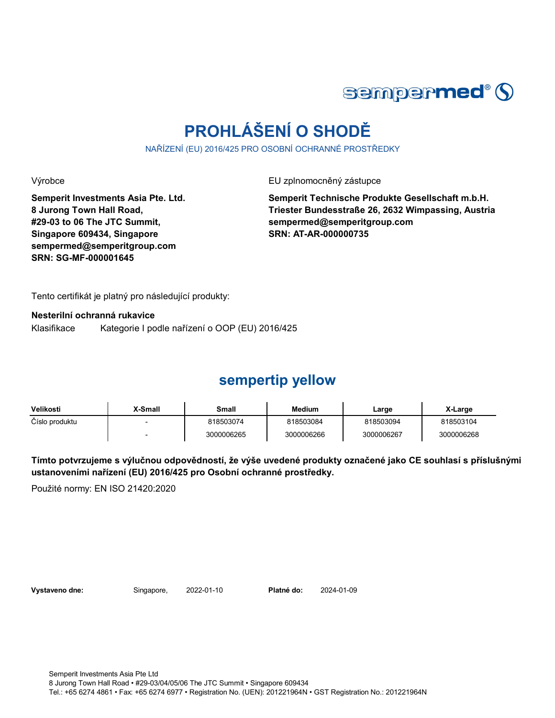

# **PROHLÁŠENÍ O SHODĚ**

NAŘÍZENÍ (EU) 2016/425 PRO OSOBNÍ OCHRANNÉ PROSTŘEDKY

Výrobce EU zplnomocněný zástupce

**Semperit Investments Asia Pte. Ltd. 8 Jurong Town Hall Road, #29-03 to 06 The JTC Summit, Singapore 609434, Singapore sempermed@semperitgroup.com SRN: SG-MF-000001645**

**Semperit Technische Produkte Gesellschaft m.b.H. Triester Bundesstraße 26, 2632 Wimpassing, Austria sempermed@semperitgroup.com SRN: AT-AR-000000735**

Tento certifikát je platný pro následující produkty:

**Nesterilní ochranná rukavice**

Klasifikace Kategorie I podle nařízení o OOP (EU) 2016/425

#### **sempertip yellow**

| Velikosti      | <b>X-Small</b> | Small      | Medium     | Large      | X-Large    |
|----------------|----------------|------------|------------|------------|------------|
| Číslo produktu |                | 818503074  | 818503084  | 818503094  | 818503104  |
|                |                | 3000006265 | 3000006266 | 3000006267 | 3000006268 |

**Tímto potvrzujeme s výlučnou odpovědností, že výše uvedené produkty označené jako CE souhlasí s příslušnými ustanoveními nařízení (EU) 2016/425 pro Osobní ochranné prostředky.**

Použité normy: EN ISO 21420:2020

Vystaveno dne: Singapore, 2022-01-10

Platné do: 2024-01-09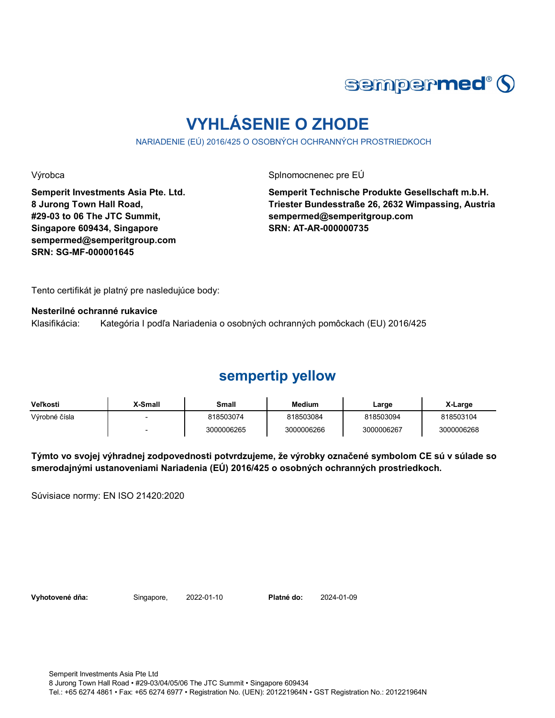

## **VYHLÁSENIE O ZHODE**

NARIADENIE (EÚ) 2016/425 O OSOBNÝCH OCHRANNÝCH PROSTRIEDKOCH

Výrobca **Splnomocnenec pre EÚ** 

**Semperit Investments Asia Pte. Ltd. 8 Jurong Town Hall Road, #29-03 to 06 The JTC Summit, Singapore 609434, Singapore sempermed@semperitgroup.com SRN: SG-MF-000001645**

**Semperit Technische Produkte Gesellschaft m.b.H. Triester Bundesstraße 26, 2632 Wimpassing, Austria sempermed@semperitgroup.com SRN: AT-AR-000000735**

Tento certifikát je platný pre nasledujúce body:

**Nesterilné ochranné rukavice**

Klasifikácia: Kategória I podľa Nariadenia o osobných ochranných pomôckach (EU) 2016/425

#### **sempertip yellow**

| Veľkosti      | <b>X-Small</b> | Small      | <b>Medium</b> | Large      | X-Large    |
|---------------|----------------|------------|---------------|------------|------------|
| Výrobné čísla |                | 818503074  | 818503084     | 818503094  | 818503104  |
|               |                | 3000006265 | 3000006266    | 3000006267 | 3000006268 |

**Týmto vo svojej výhradnej zodpovednosti potvrdzujeme, že výrobky označené symbolom CE sú v súlade so smerodajnými ustanoveniami Nariadenia (EÚ) 2016/425 o osobných ochranných prostriedkoch.**

Súvisiace normy: EN ISO 21420:2020

Vyhotovené dňa: Singapore, 2022-01-10 Platné do:

2024-01-09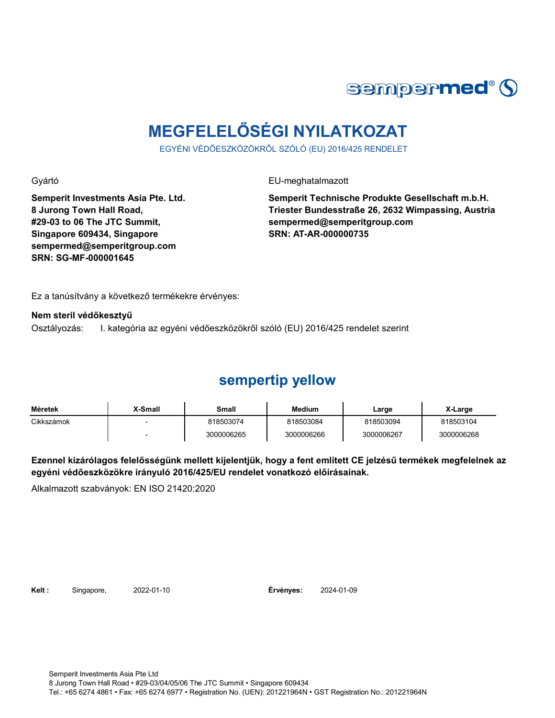

# **MEGFELELŐSÉGI NYILATKOZAT**

EGYÉNI VÉDŐESZKÖZÖKRŐL SZÓLÓ (EU) 2016/425 RENDELET

Gyártó EU-meghatalmazott

**Semperit Investments Asia Pte. Ltd. 8 Jurong Town Hall Road, #29-03 to 06 The JTC Summit, Singapore 609434, Singapore sempermed@semperitgroup.com SRN: SG-MF-000001645**

**Semperit Technische Produkte Gesellschaft m.b.H. Triester Bundesstraße 26, 2632 Wimpassing, Austria sempermed@semperitgroup.com SRN: AT-AR-000000735**

Ez a tanúsítvány a következő termékekre érvényes:

#### **Nem steril védőkesztyű**

Osztályozás: I. kategória az egyéni védőeszközökről szóló (EU) 2016/425 rendelet szerint

#### **sempertip yellow**

| Méretek    | <b>X-Small</b> | Small      | <b>Medium</b> | Large      | X-Large    |
|------------|----------------|------------|---------------|------------|------------|
| Cikkszámok |                | 818503074  | 818503084     | 818503094  | 818503104  |
|            |                | 3000006265 | 3000006266    | 3000006267 | 3000006268 |

**Ezennel kizárólagos felelősségünk mellett kijelentjük, hogy a fent említett CE jelzésű termékek megfelelnek az egyéni védőeszközökre irányuló 2016/425/EU rendelet vonatkozó előírásainak.**

Alkalmazott szabványok: EN ISO 21420:2020

**Kelt :** Singapore, 2022-01-10

**Érvényes:** 2024-01-09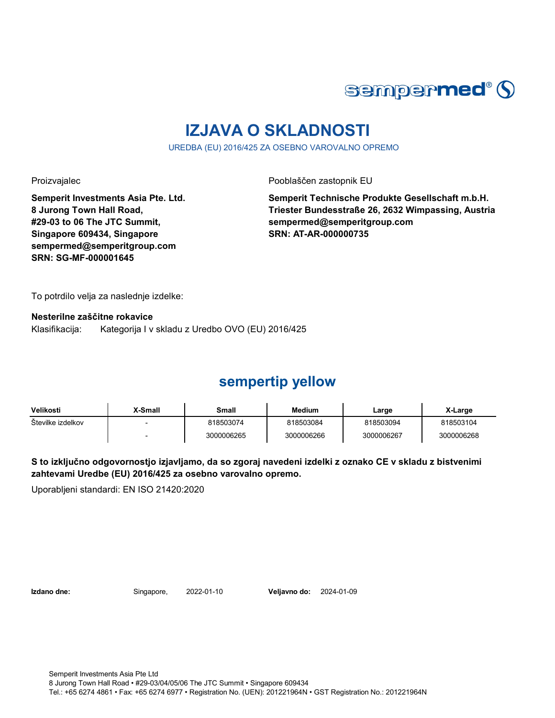

## **IZJAVA O SKLADNOSTI**

UREDBA (EU) 2016/425 ZA OSEBNO VAROVALNO OPREMO

Proizvajalec **Proizvajalec** Pooblaščen zastopnik EU

**Semperit Investments Asia Pte. Ltd. 8 Jurong Town Hall Road, #29-03 to 06 The JTC Summit, Singapore 609434, Singapore sempermed@semperitgroup.com SRN: SG-MF-000001645**

**Semperit Technische Produkte Gesellschaft m.b.H. Triester Bundesstraße 26, 2632 Wimpassing, Austria sempermed@semperitgroup.com SRN: AT-AR-000000735**

To potrdilo velja za naslednje izdelke:

**Nesterilne zaščitne rokavice** Klasifikacija: Kategorija I v skladu z Uredbo OVO (EU) 2016/425

### **sempertip yellow**

| Velikosti         | X-Small | Small      | <b>Medium</b> | Large      | X-Large    |
|-------------------|---------|------------|---------------|------------|------------|
| Stevilke izdelkov |         | 818503074  | 818503084     | 818503094  | 818503104  |
|                   |         | 3000006265 | 3000006266    | 3000006267 | 3000006268 |

**S to izključno odgovornostjo izjavljamo, da so zgoraj navedeni izdelki z oznako CE v skladu z bistvenimi zahtevami Uredbe (EU) 2016/425 za osebno varovalno opremo.**

Uporabljeni standardi: EN ISO 21420:2020

**Izdano dne:** Singapore, **Veljavno do:** 2022-01-10 2024-01-09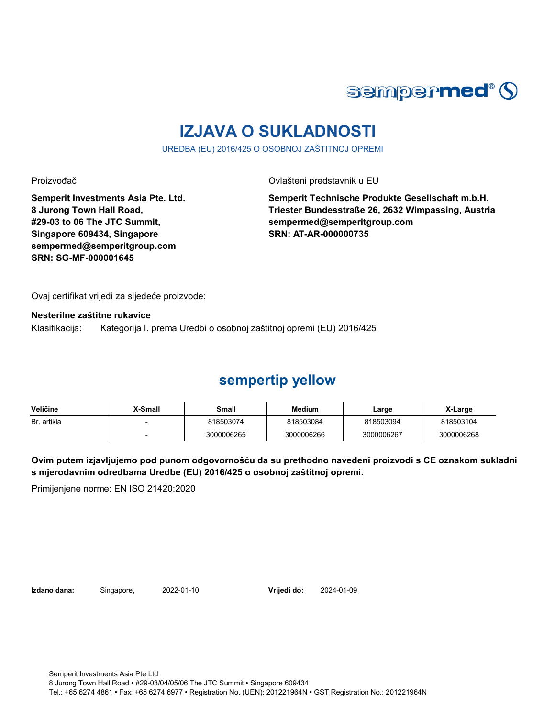

## **IZJAVA O SUKLADNOSTI**

UREDBA (EU) 2016/425 O OSOBNOJ ZAŠTITNOJ OPREMI

Proizvođač **Ovlašteni predstavnik u EU** 

**Semperit Investments Asia Pte. Ltd. 8 Jurong Town Hall Road, #29-03 to 06 The JTC Summit, Singapore 609434, Singapore sempermed@semperitgroup.com SRN: SG-MF-000001645**

**Semperit Technische Produkte Gesellschaft m.b.H. Triester Bundesstraße 26, 2632 Wimpassing, Austria sempermed@semperitgroup.com SRN: AT-AR-000000735**

Ovaj certifikat vrijedi za sljedeće proizvode:

#### **Nesterilne zaštitne rukavice**

Klasifikacija: Kategorija I. prema Uredbi o osobnoj zaštitnoj opremi (EU) 2016/425

#### **sempertip yellow**

| Veličine    | X-Small | Small      | <b>Medium</b> | Large      | X-Large    |
|-------------|---------|------------|---------------|------------|------------|
| Br. artikla |         | 818503074  | 818503084     | 818503094  | 818503104  |
|             |         | 3000006265 | 3000006266    | 3000006267 | 3000006268 |

**Ovim putem izjavljujemo pod punom odgovornošću da su prethodno navedeni proizvodi s CE oznakom sukladni s mjerodavnim odredbama Uredbe (EU) 2016/425 o osobnoj zaštitnoj opremi.**

Primijenjene norme: EN ISO 21420:2020

**Izdano dana:** Singapore, 2022-01-10

**Vrijedi do:** 2024-01-09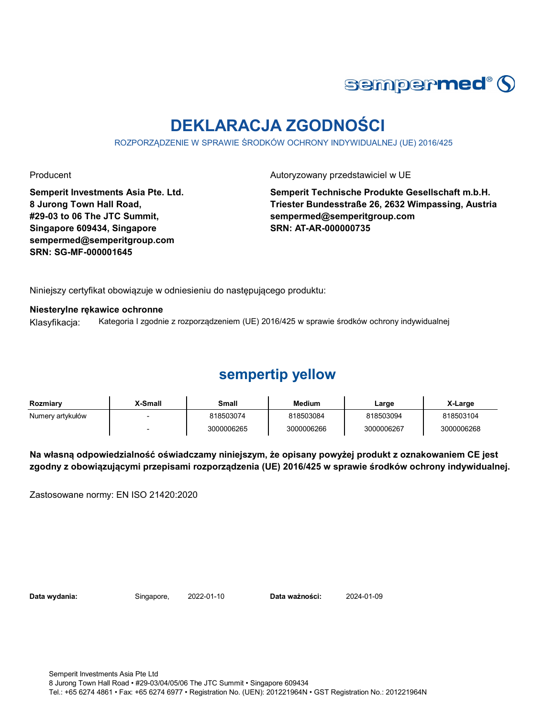

## **DEKLARACJA ZGODNOŚCI**

ROZPORZĄDZENIE W SPRAWIE ŚRODKÓW OCHRONY INDYWIDUALNEJ (UE) 2016/425

**Semperit Investments Asia Pte. Ltd. 8 Jurong Town Hall Road, #29-03 to 06 The JTC Summit, Singapore 609434, Singapore sempermed@semperitgroup.com SRN: SG-MF-000001645**

Producent **Autoryzowany przedstawiciel w UE** 

**Semperit Technische Produkte Gesellschaft m.b.H. Triester Bundesstraße 26, 2632 Wimpassing, Austria sempermed@semperitgroup.com SRN: AT-AR-000000735**

Niniejszy certyfikat obowiązuje w odniesieniu do następującego produktu:

**Niesterylne rękawice ochronne**

Klasyfikacja: Kategoria I zgodnie z rozporządzeniem (UE) 2016/425 w sprawie środków ochrony indywidualnej

#### **sempertip yellow**

| Rozmiary         | <b>X-Small</b> | Small      | <b>Medium</b> | ∟arge      | X-Large    |
|------------------|----------------|------------|---------------|------------|------------|
| Numery artykułów |                | 818503074  | 818503084     | 818503094  | 818503104  |
|                  |                | 3000006265 | 3000006266    | 3000006267 | 3000006268 |

**Na własną odpowiedzialność oświadczamy niniejszym, że opisany powyżej produkt z oznakowaniem CE jest zgodny z obowiązującymi przepisami rozporządzenia (UE) 2016/425 w sprawie środków ochrony indywidualnej.**

Zastosowane normy: EN ISO 21420:2020

Data wydania: Singapore, 2022-01-10

Data ważności: 2024-01-09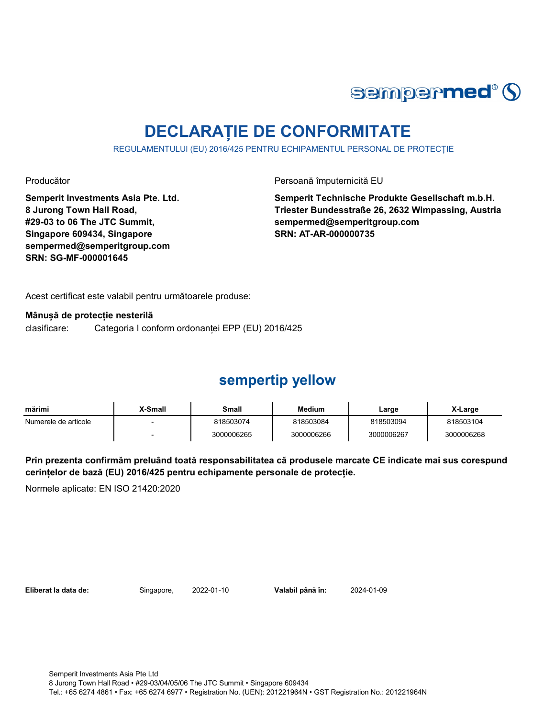

## **DECLARAȚIE DE CONFORMITATE**

REGULAMENTULUI (EU) 2016/425 PENTRU ECHIPAMENTUL PERSONAL DE PROTECȚIE

Producător **Producător** Persoană împuternicită EU

**Semperit Investments Asia Pte. Ltd. 8 Jurong Town Hall Road, #29-03 to 06 The JTC Summit, Singapore 609434, Singapore sempermed@semperitgroup.com SRN: SG-MF-000001645**

**Semperit Technische Produkte Gesellschaft m.b.H. Triester Bundesstraße 26, 2632 Wimpassing, Austria sempermed@semperitgroup.com SRN: AT-AR-000000735**

Acest certificat este valabil pentru următoarele produse:

**Mânușă de protecție nesterilă**

clasificare: Categoria I conform ordonanței EPP (EU) 2016/425

#### **sempertip yellow**

| mărimi               | X-Small | Small      | <b>Medium</b> | Large      | X-Large    |
|----------------------|---------|------------|---------------|------------|------------|
| Numerele de articole |         | 818503074  | 818503084     | 818503094  | 818503104  |
|                      |         | 3000006265 | 3000006266    | 3000006267 | 3000006268 |

**Prin prezenta confirmăm preluând toată responsabilitatea că produsele marcate CE indicate mai sus corespund cerințelor de bază (EU) 2016/425 pentru echipamente personale de protecție.**

Normele aplicate: EN ISO 21420:2020

**Eliberat la data de:** Singapore, 2022-01-10

Valabil până în: 2024-01-09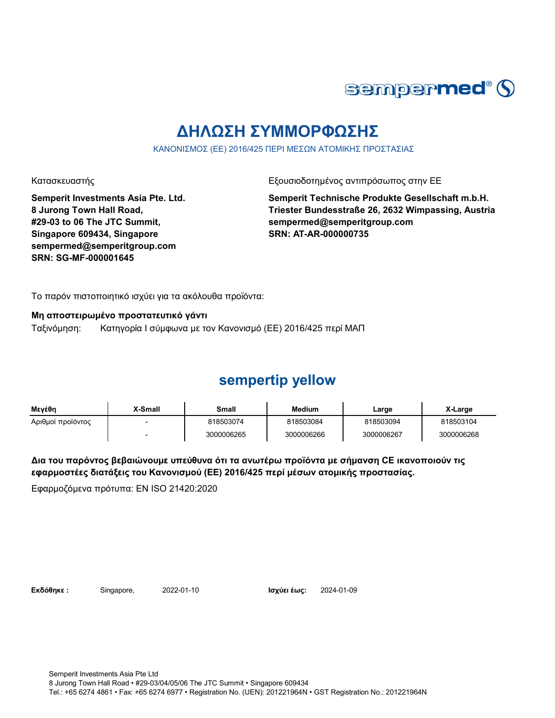

## **ΔΗΛΩΣΗ ΣΥΜΜΟΡΦΩΣΗΣ**

ΚΑΝΟΝΙΣΜΟΣ (ΕΕ) 2016/425 ΠΕΡΙ ΜΕΣΩΝ ΑΤΟΜΙΚΗΣ ΠΡΟΣΤΑΣΙΑΣ

Κατασκευαστής Γεριοδοτημένος αντιπρόσωπος στην ΕΕ

**Semperit Investments Asia Pte. Ltd. 8 Jurong Town Hall Road, #29-03 to 06 The JTC Summit, Singapore 609434, Singapore sempermed@semperitgroup.com SRN: SG-MF-000001645**

**Semperit Technische Produkte Gesellschaft m.b.H. Triester Bundesstraße 26, 2632 Wimpassing, Austria sempermed@semperitgroup.com SRN: AT-AR-000000735**

Το παρόν πιστοποιητικό ισχύει για τα ακόλουθα προϊόντα:

#### **Μη αποστειρωμένο προστατευτικό γάντι**

Ταξινόμηση: Κατηγορία I σύμφωνα με τον Κανονισμό (ΕΕ) 2016/425 περί ΜΑΠ

#### **sempertip yellow**

| Μενέθη            | X-Small | Small      | Medium     | Large      | X-Large    |
|-------------------|---------|------------|------------|------------|------------|
| Αριθμοί προϊόντος |         | 818503074  | 818503084  | 818503094  | 818503104  |
|                   |         | 3000006265 | 3000006266 | 3000006267 | 3000006268 |

**Δια του παρόντος βεβαιώνουμε υπεύθυνα ότι τα ανωτέρω προϊόντα με σήμανση CE ικανοποιούν τις εφαρμοστέες διατάξεις του Κανονισμού (ΕΕ) 2016/425 περί μέσων ατομικής προστασίας.**

Εφαρμοζόμενα πρότυπα: EN ISO 21420:2020

**Εκδόθηκε:** Singapore, 2022-01-10

Ισχύει έως: 2024-01-09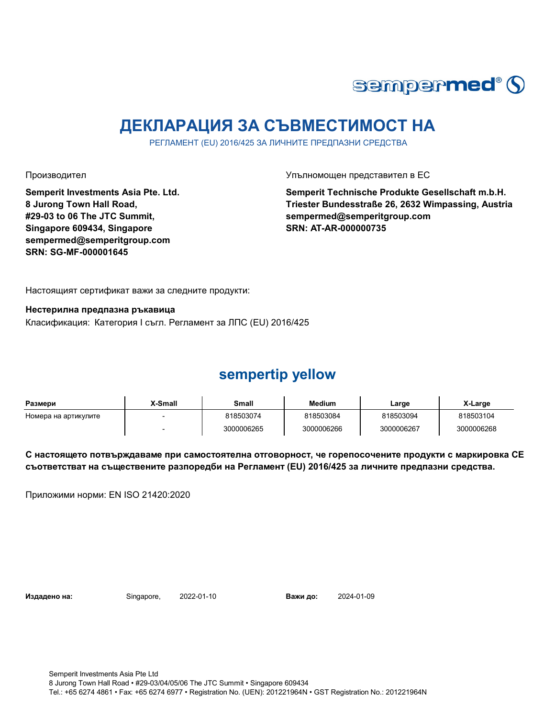

## **ДЕКЛАРАЦИЯ ЗА СЪВМЕСТИМОСТ НА**

РЕГЛАМЕНТ (EU) 2016/425 ЗА ЛИЧНИТЕ ПРЕДПАЗНИ СРЕДСТВА

**Semperit Investments Asia Pte. Ltd. 8 Jurong Town Hall Road, #29-03 to 06 The JTC Summit, Singapore 609434, Singapore sempermed@semperitgroup.com SRN: SG-MF-000001645**

Производител Упълномощен представител в ЕС

**Semperit Technische Produkte Gesellschaft m.b.H. Triester Bundesstraße 26, 2632 Wimpassing, Austria sempermed@semperitgroup.com SRN: AT-AR-000000735**

Настоящият сертификат важи за следните продукти:

**Нестерилна предпазна ръкавица** Класификация: Категория I съгл. Регламент за ЛПС (EU) 2016/425

#### **sempertip yellow**

| Размери              | X-Small | Small      | Medium     | Large      | X-Large    |
|----------------------|---------|------------|------------|------------|------------|
| Номера на артикулите |         | 818503074  | 818503084  | 818503094  | 818503104  |
|                      |         | 3000006265 | 3000006266 | 3000006267 | 3000006268 |

**С настоящето потвърждаваме при самостоятелна отговорност, че горепосочените продукти с маркировка СЕ съответстват на съществените разпоредби на Регламент (EU) 2016/425 за личните предпазни средства.**

Приложими норми: EN ISO 21420:2020

**Издадено на:** Singapore, 2022-01-10

Важи до: 2024-01-09